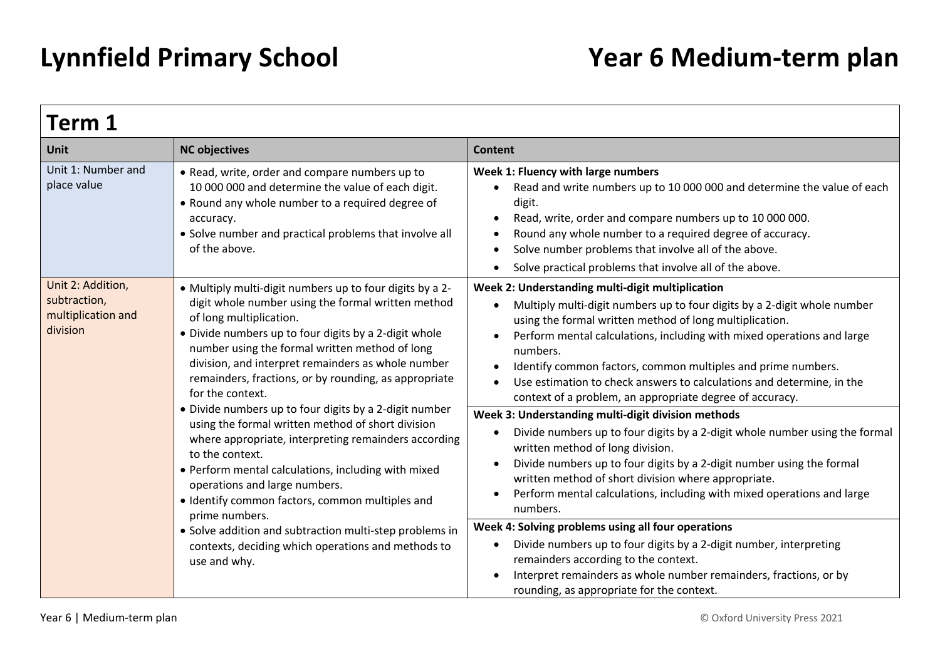| <b>Term 1</b>                                                                                                                                                                                                                                                                                                                                                                                                                                                                        |                                                                                                                                                                                                                                                                                                                                                                                                                                                                                                                                                                                                                                                                                                                                       |                                                                                                                                                                                                                                                                                                                                                                                                                                                                                    |  |
|--------------------------------------------------------------------------------------------------------------------------------------------------------------------------------------------------------------------------------------------------------------------------------------------------------------------------------------------------------------------------------------------------------------------------------------------------------------------------------------|---------------------------------------------------------------------------------------------------------------------------------------------------------------------------------------------------------------------------------------------------------------------------------------------------------------------------------------------------------------------------------------------------------------------------------------------------------------------------------------------------------------------------------------------------------------------------------------------------------------------------------------------------------------------------------------------------------------------------------------|------------------------------------------------------------------------------------------------------------------------------------------------------------------------------------------------------------------------------------------------------------------------------------------------------------------------------------------------------------------------------------------------------------------------------------------------------------------------------------|--|
| <b>Unit</b>                                                                                                                                                                                                                                                                                                                                                                                                                                                                          | <b>NC objectives</b>                                                                                                                                                                                                                                                                                                                                                                                                                                                                                                                                                                                                                                                                                                                  | <b>Content</b>                                                                                                                                                                                                                                                                                                                                                                                                                                                                     |  |
| Unit 1: Number and<br>place value                                                                                                                                                                                                                                                                                                                                                                                                                                                    | • Read, write, order and compare numbers up to<br>10 000 000 and determine the value of each digit.<br>• Round any whole number to a required degree of<br>accuracy.<br>• Solve number and practical problems that involve all<br>of the above.                                                                                                                                                                                                                                                                                                                                                                                                                                                                                       | Week 1: Fluency with large numbers<br>Read and write numbers up to 10 000 000 and determine the value of each<br>digit.<br>Read, write, order and compare numbers up to 10 000 000.<br>Round any whole number to a required degree of accuracy.<br>Solve number problems that involve all of the above.<br>Solve practical problems that involve all of the above.                                                                                                                 |  |
| Unit 2: Addition,<br>subtraction,<br>multiplication and<br>division                                                                                                                                                                                                                                                                                                                                                                                                                  | • Multiply multi-digit numbers up to four digits by a 2-<br>digit whole number using the formal written method<br>of long multiplication.<br>• Divide numbers up to four digits by a 2-digit whole<br>number using the formal written method of long<br>division, and interpret remainders as whole number<br>remainders, fractions, or by rounding, as appropriate<br>for the context.                                                                                                                                                                                                                                                                                                                                               | Week 2: Understanding multi-digit multiplication<br>Multiply multi-digit numbers up to four digits by a 2-digit whole number<br>using the formal written method of long multiplication.<br>Perform mental calculations, including with mixed operations and large<br>numbers.<br>Identify common factors, common multiples and prime numbers.<br>Use estimation to check answers to calculations and determine, in the<br>context of a problem, an appropriate degree of accuracy. |  |
| • Divide numbers up to four digits by a 2-digit number<br>using the formal written method of short division<br>where appropriate, interpreting remainders according<br>to the context.<br>• Perform mental calculations, including with mixed<br>operations and large numbers.<br>· Identify common factors, common multiples and<br>prime numbers.<br>• Solve addition and subtraction multi-step problems in<br>contexts, deciding which operations and methods to<br>use and why. | Week 3: Understanding multi-digit division methods<br>Divide numbers up to four digits by a 2-digit whole number using the formal<br>$\bullet$<br>written method of long division.<br>Divide numbers up to four digits by a 2-digit number using the formal<br>$\bullet$<br>written method of short division where appropriate.<br>Perform mental calculations, including with mixed operations and large<br>numbers.<br>Week 4: Solving problems using all four operations<br>Divide numbers up to four digits by a 2-digit number, interpreting<br>$\bullet$<br>remainders according to the context.<br>Interpret remainders as whole number remainders, fractions, or by<br>$\bullet$<br>rounding, as appropriate for the context. |                                                                                                                                                                                                                                                                                                                                                                                                                                                                                    |  |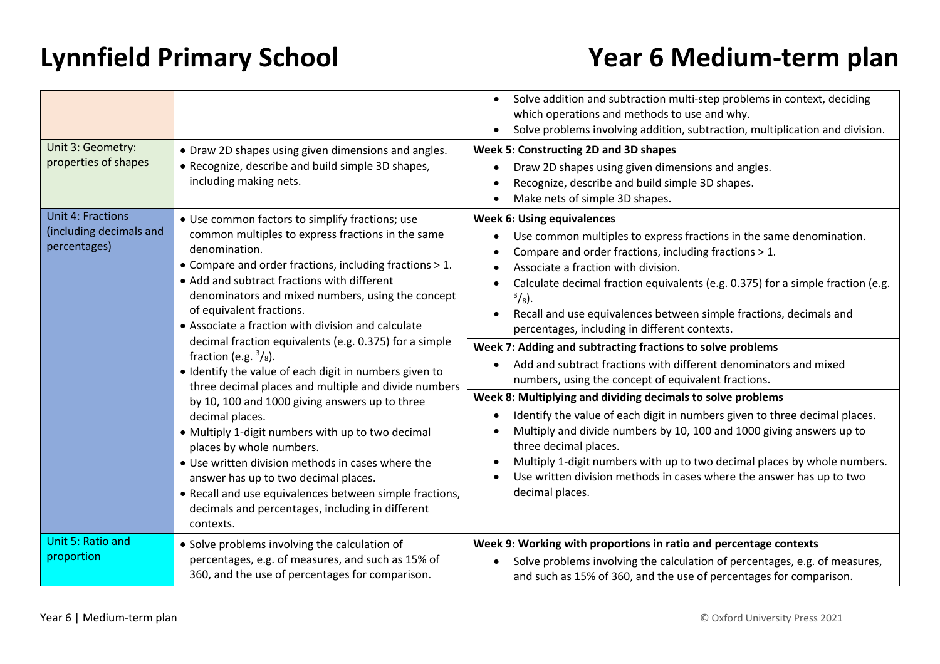| Unit 3: Geometry:<br>properties of shapes                           | • Draw 2D shapes using given dimensions and angles.<br>• Recognize, describe and build simple 3D shapes,                                                                                                                                                                                                                                                                                                                                                                                                                                                                                                                                                                                                                                                                                                                                                                                                                                                             | Solve addition and subtraction multi-step problems in context, deciding<br>which operations and methods to use and why.<br>Solve problems involving addition, subtraction, multiplication and division.<br>Week 5: Constructing 2D and 3D shapes<br>Draw 2D shapes using given dimensions and angles.                                                                                                                                                                                                                                                                                                                                                                                                                                                                                                                                                                                                                                                                                                                                              |
|---------------------------------------------------------------------|----------------------------------------------------------------------------------------------------------------------------------------------------------------------------------------------------------------------------------------------------------------------------------------------------------------------------------------------------------------------------------------------------------------------------------------------------------------------------------------------------------------------------------------------------------------------------------------------------------------------------------------------------------------------------------------------------------------------------------------------------------------------------------------------------------------------------------------------------------------------------------------------------------------------------------------------------------------------|----------------------------------------------------------------------------------------------------------------------------------------------------------------------------------------------------------------------------------------------------------------------------------------------------------------------------------------------------------------------------------------------------------------------------------------------------------------------------------------------------------------------------------------------------------------------------------------------------------------------------------------------------------------------------------------------------------------------------------------------------------------------------------------------------------------------------------------------------------------------------------------------------------------------------------------------------------------------------------------------------------------------------------------------------|
|                                                                     | including making nets.                                                                                                                                                                                                                                                                                                                                                                                                                                                                                                                                                                                                                                                                                                                                                                                                                                                                                                                                               | Recognize, describe and build simple 3D shapes.<br>Make nets of simple 3D shapes.                                                                                                                                                                                                                                                                                                                                                                                                                                                                                                                                                                                                                                                                                                                                                                                                                                                                                                                                                                  |
| <b>Unit 4: Fractions</b><br>(including decimals and<br>percentages) | • Use common factors to simplify fractions; use<br>common multiples to express fractions in the same<br>denomination.<br>• Compare and order fractions, including fractions > 1.<br>• Add and subtract fractions with different<br>denominators and mixed numbers, using the concept<br>of equivalent fractions.<br>• Associate a fraction with division and calculate<br>decimal fraction equivalents (e.g. 0.375) for a simple<br>fraction (e.g. $\frac{3}{8}$ ).<br>• Identify the value of each digit in numbers given to<br>three decimal places and multiple and divide numbers<br>by 10, 100 and 1000 giving answers up to three<br>decimal places.<br>• Multiply 1-digit numbers with up to two decimal<br>places by whole numbers.<br>• Use written division methods in cases where the<br>answer has up to two decimal places.<br>• Recall and use equivalences between simple fractions,<br>decimals and percentages, including in different<br>contexts. | <b>Week 6: Using equivalences</b><br>Use common multiples to express fractions in the same denomination.<br>Compare and order fractions, including fractions > 1.<br>Associate a fraction with division.<br>Calculate decimal fraction equivalents (e.g. 0.375) for a simple fraction (e.g.<br>$^{3}/_{8}$ ).<br>Recall and use equivalences between simple fractions, decimals and<br>percentages, including in different contexts.<br>Week 7: Adding and subtracting fractions to solve problems<br>Add and subtract fractions with different denominators and mixed<br>numbers, using the concept of equivalent fractions.<br>Week 8: Multiplying and dividing decimals to solve problems<br>Identify the value of each digit in numbers given to three decimal places.<br>Multiply and divide numbers by 10, 100 and 1000 giving answers up to<br>three decimal places.<br>Multiply 1-digit numbers with up to two decimal places by whole numbers.<br>Use written division methods in cases where the answer has up to two<br>decimal places. |
| Unit 5: Ratio and<br>proportion                                     | • Solve problems involving the calculation of<br>percentages, e.g. of measures, and such as 15% of<br>360, and the use of percentages for comparison.                                                                                                                                                                                                                                                                                                                                                                                                                                                                                                                                                                                                                                                                                                                                                                                                                | Week 9: Working with proportions in ratio and percentage contexts<br>Solve problems involving the calculation of percentages, e.g. of measures,<br>and such as 15% of 360, and the use of percentages for comparison.                                                                                                                                                                                                                                                                                                                                                                                                                                                                                                                                                                                                                                                                                                                                                                                                                              |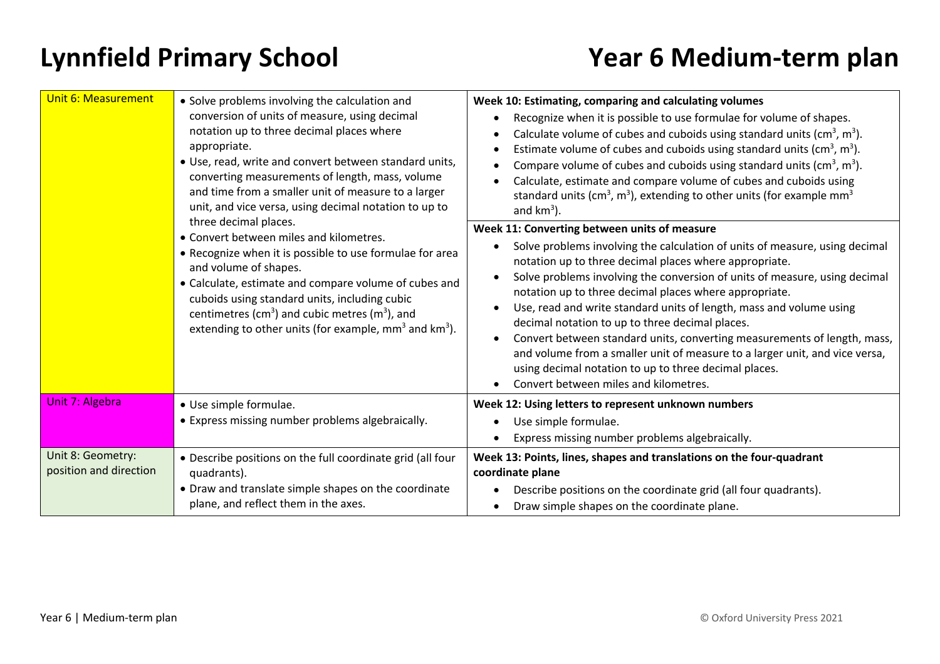| <b>Unit 6: Measurement</b>                  | • Solve problems involving the calculation and<br>conversion of units of measure, using decimal<br>notation up to three decimal places where<br>appropriate.<br>• Use, read, write and convert between standard units,<br>converting measurements of length, mass, volume<br>and time from a smaller unit of measure to a larger<br>unit, and vice versa, using decimal notation to up to<br>three decimal places.<br>• Convert between miles and kilometres.<br>• Recognize when it is possible to use formulae for area<br>and volume of shapes.<br>• Calculate, estimate and compare volume of cubes and<br>cuboids using standard units, including cubic<br>centimetres ( $cm3$ ) and cubic metres ( $m3$ ), and<br>extending to other units (for example, $mm3$ and $km3$ ). | Week 10: Estimating, comparing and calculating volumes<br>Recognize when it is possible to use formulae for volume of shapes.<br>Calculate volume of cubes and cuboids using standard units ( $\text{cm}^3$ , $\text{m}^3$ ).<br>$\bullet$<br>Estimate volume of cubes and cuboids using standard units ( $\text{cm}^3$ , $\text{m}^3$ ).<br>$\bullet$<br>Compare volume of cubes and cuboids using standard units ( $\text{cm}^3$ , $\text{m}^3$ ).<br>Calculate, estimate and compare volume of cubes and cuboids using<br>standard units ( $cm3$ , $m3$ ), extending to other units (for example mm <sup>3</sup><br>and $km^3$ ).<br>Week 11: Converting between units of measure<br>Solve problems involving the calculation of units of measure, using decimal<br>$\bullet$<br>notation up to three decimal places where appropriate.<br>Solve problems involving the conversion of units of measure, using decimal<br>$\bullet$<br>notation up to three decimal places where appropriate.<br>Use, read and write standard units of length, mass and volume using<br>$\bullet$<br>decimal notation to up to three decimal places.<br>Convert between standard units, converting measurements of length, mass,<br>$\bullet$<br>and volume from a smaller unit of measure to a larger unit, and vice versa,<br>using decimal notation to up to three decimal places.<br>Convert between miles and kilometres. |
|---------------------------------------------|-----------------------------------------------------------------------------------------------------------------------------------------------------------------------------------------------------------------------------------------------------------------------------------------------------------------------------------------------------------------------------------------------------------------------------------------------------------------------------------------------------------------------------------------------------------------------------------------------------------------------------------------------------------------------------------------------------------------------------------------------------------------------------------|------------------------------------------------------------------------------------------------------------------------------------------------------------------------------------------------------------------------------------------------------------------------------------------------------------------------------------------------------------------------------------------------------------------------------------------------------------------------------------------------------------------------------------------------------------------------------------------------------------------------------------------------------------------------------------------------------------------------------------------------------------------------------------------------------------------------------------------------------------------------------------------------------------------------------------------------------------------------------------------------------------------------------------------------------------------------------------------------------------------------------------------------------------------------------------------------------------------------------------------------------------------------------------------------------------------------------------------------------------------------------------------------------------------|
| Unit 7: Algebra                             | · Use simple formulae.<br>• Express missing number problems algebraically.                                                                                                                                                                                                                                                                                                                                                                                                                                                                                                                                                                                                                                                                                                        | Week 12: Using letters to represent unknown numbers<br>Use simple formulae.<br>$\bullet$<br>Express missing number problems algebraically.                                                                                                                                                                                                                                                                                                                                                                                                                                                                                                                                                                                                                                                                                                                                                                                                                                                                                                                                                                                                                                                                                                                                                                                                                                                                       |
| Unit 8: Geometry:<br>position and direction | . Describe positions on the full coordinate grid (all four<br>quadrants).<br>• Draw and translate simple shapes on the coordinate<br>plane, and reflect them in the axes.                                                                                                                                                                                                                                                                                                                                                                                                                                                                                                                                                                                                         | Week 13: Points, lines, shapes and translations on the four-quadrant<br>coordinate plane<br>Describe positions on the coordinate grid (all four quadrants).<br>$\bullet$<br>Draw simple shapes on the coordinate plane.                                                                                                                                                                                                                                                                                                                                                                                                                                                                                                                                                                                                                                                                                                                                                                                                                                                                                                                                                                                                                                                                                                                                                                                          |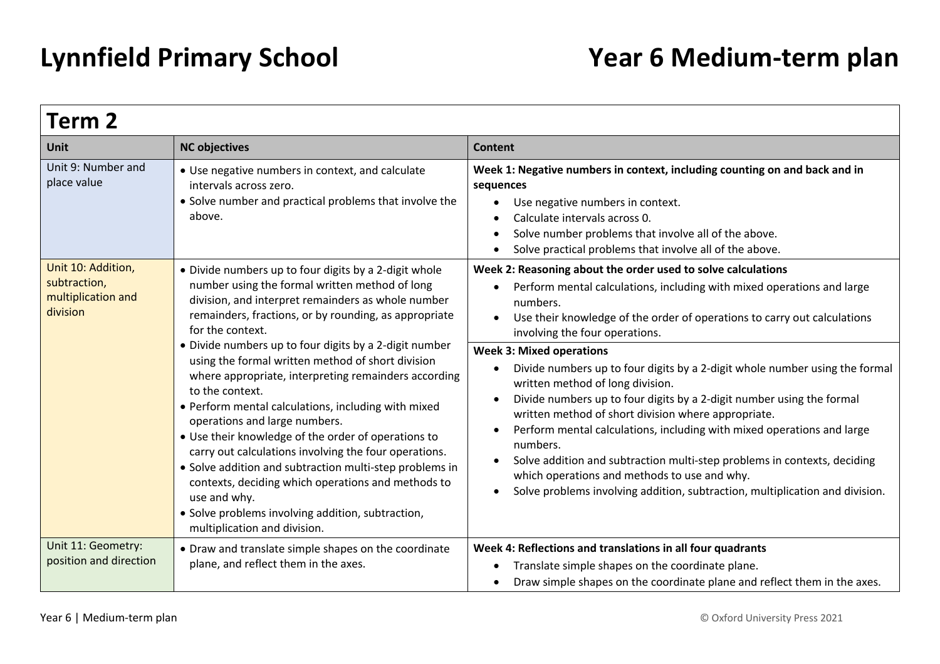| Term 2                                                               |                                                                                                                                                                                                                                                                                                                                                                                                                                                                                                                                                                                                                                                                                                                                                                                                                                                                    |                                                                                                                                                                                                                                                                                                                                                                                                                                                                                                                                                                                                                                                                                                                                                                                                                                                                                                                           |
|----------------------------------------------------------------------|--------------------------------------------------------------------------------------------------------------------------------------------------------------------------------------------------------------------------------------------------------------------------------------------------------------------------------------------------------------------------------------------------------------------------------------------------------------------------------------------------------------------------------------------------------------------------------------------------------------------------------------------------------------------------------------------------------------------------------------------------------------------------------------------------------------------------------------------------------------------|---------------------------------------------------------------------------------------------------------------------------------------------------------------------------------------------------------------------------------------------------------------------------------------------------------------------------------------------------------------------------------------------------------------------------------------------------------------------------------------------------------------------------------------------------------------------------------------------------------------------------------------------------------------------------------------------------------------------------------------------------------------------------------------------------------------------------------------------------------------------------------------------------------------------------|
| <b>Unit</b>                                                          | <b>NC objectives</b>                                                                                                                                                                                                                                                                                                                                                                                                                                                                                                                                                                                                                                                                                                                                                                                                                                               | <b>Content</b>                                                                                                                                                                                                                                                                                                                                                                                                                                                                                                                                                                                                                                                                                                                                                                                                                                                                                                            |
| Unit 9: Number and<br>place value                                    | • Use negative numbers in context, and calculate<br>intervals across zero.<br>• Solve number and practical problems that involve the<br>above.                                                                                                                                                                                                                                                                                                                                                                                                                                                                                                                                                                                                                                                                                                                     | Week 1: Negative numbers in context, including counting on and back and in<br>sequences<br>Use negative numbers in context.<br>$\bullet$<br>Calculate intervals across 0.<br>Solve number problems that involve all of the above.<br>$\bullet$<br>Solve practical problems that involve all of the above.<br>$\bullet$                                                                                                                                                                                                                                                                                                                                                                                                                                                                                                                                                                                                    |
| Unit 10: Addition,<br>subtraction,<br>multiplication and<br>division | • Divide numbers up to four digits by a 2-digit whole<br>number using the formal written method of long<br>division, and interpret remainders as whole number<br>remainders, fractions, or by rounding, as appropriate<br>for the context.<br>• Divide numbers up to four digits by a 2-digit number<br>using the formal written method of short division<br>where appropriate, interpreting remainders according<br>to the context.<br>• Perform mental calculations, including with mixed<br>operations and large numbers.<br>• Use their knowledge of the order of operations to<br>carry out calculations involving the four operations.<br>• Solve addition and subtraction multi-step problems in<br>contexts, deciding which operations and methods to<br>use and why.<br>• Solve problems involving addition, subtraction,<br>multiplication and division. | Week 2: Reasoning about the order used to solve calculations<br>Perform mental calculations, including with mixed operations and large<br>numbers.<br>Use their knowledge of the order of operations to carry out calculations<br>$\bullet$<br>involving the four operations.<br><b>Week 3: Mixed operations</b><br>Divide numbers up to four digits by a 2-digit whole number using the formal<br>$\bullet$<br>written method of long division.<br>Divide numbers up to four digits by a 2-digit number using the formal<br>written method of short division where appropriate.<br>Perform mental calculations, including with mixed operations and large<br>$\bullet$<br>numbers.<br>Solve addition and subtraction multi-step problems in contexts, deciding<br>$\bullet$<br>which operations and methods to use and why.<br>Solve problems involving addition, subtraction, multiplication and division.<br>$\bullet$ |
| Unit 11: Geometry:<br>position and direction                         | • Draw and translate simple shapes on the coordinate<br>plane, and reflect them in the axes.                                                                                                                                                                                                                                                                                                                                                                                                                                                                                                                                                                                                                                                                                                                                                                       | Week 4: Reflections and translations in all four quadrants<br>Translate simple shapes on the coordinate plane.<br>Draw simple shapes on the coordinate plane and reflect them in the axes.<br>$\bullet$                                                                                                                                                                                                                                                                                                                                                                                                                                                                                                                                                                                                                                                                                                                   |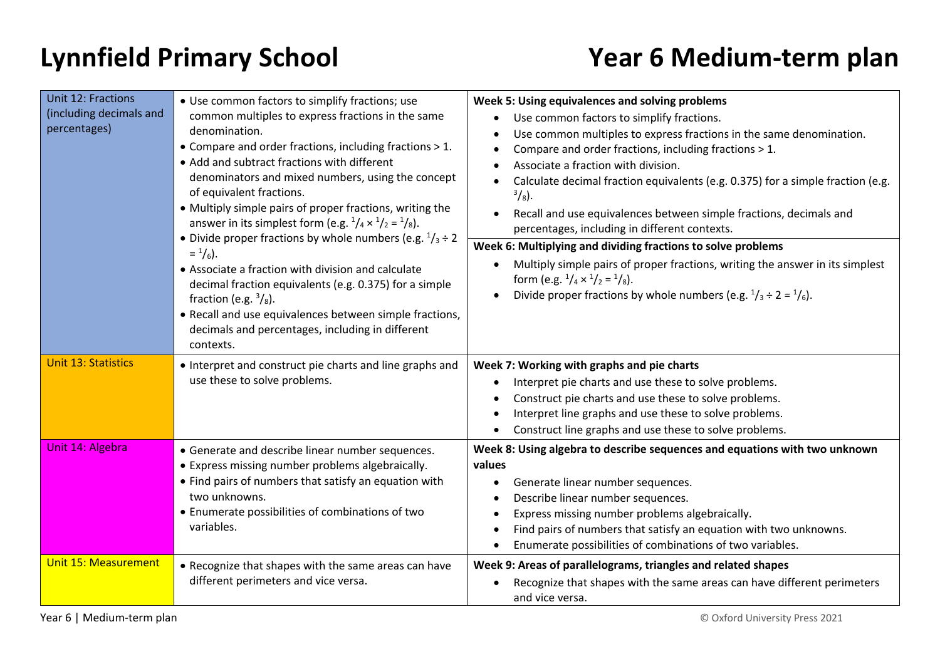| <b>Unit 12: Fractions</b><br>(including decimals and<br>percentages) | • Use common factors to simplify fractions; use<br>common multiples to express fractions in the same<br>denomination.<br>• Compare and order fractions, including fractions > 1.<br>• Add and subtract fractions with different<br>denominators and mixed numbers, using the concept<br>of equivalent fractions.<br>• Multiply simple pairs of proper fractions, writing the<br>answer in its simplest form (e.g. $\frac{1}{4} \times \frac{1}{2} = \frac{1}{8}$ ).<br>• Divide proper fractions by whole numbers (e.g. $\frac{1}{3} \div 2$<br>$=$ $\frac{1}{6}$ ).<br>• Associate a fraction with division and calculate<br>decimal fraction equivalents (e.g. 0.375) for a simple<br>fraction (e.g. $\frac{3}{8}$ ).<br>• Recall and use equivalences between simple fractions,<br>decimals and percentages, including in different<br>contexts. | Week 5: Using equivalences and solving problems<br>Use common factors to simplify fractions.<br>Use common multiples to express fractions in the same denomination.<br>Compare and order fractions, including fractions > 1.<br>Associate a fraction with division.<br>Calculate decimal fraction equivalents (e.g. 0.375) for a simple fraction (e.g.<br>$^{3}/_{8}$ ).<br>Recall and use equivalences between simple fractions, decimals and<br>percentages, including in different contexts. |
|----------------------------------------------------------------------|-----------------------------------------------------------------------------------------------------------------------------------------------------------------------------------------------------------------------------------------------------------------------------------------------------------------------------------------------------------------------------------------------------------------------------------------------------------------------------------------------------------------------------------------------------------------------------------------------------------------------------------------------------------------------------------------------------------------------------------------------------------------------------------------------------------------------------------------------------|-------------------------------------------------------------------------------------------------------------------------------------------------------------------------------------------------------------------------------------------------------------------------------------------------------------------------------------------------------------------------------------------------------------------------------------------------------------------------------------------------|
|                                                                      |                                                                                                                                                                                                                                                                                                                                                                                                                                                                                                                                                                                                                                                                                                                                                                                                                                                     | Week 6: Multiplying and dividing fractions to solve problems<br>Multiply simple pairs of proper fractions, writing the answer in its simplest<br>form (e.g. $\frac{1}{4} \times \frac{1}{2} = \frac{1}{8}$ ).<br>Divide proper fractions by whole numbers (e.g. $\frac{1}{3} \div 2 = \frac{1}{6}$ ).                                                                                                                                                                                           |
| <b>Unit 13: Statistics</b>                                           | • Interpret and construct pie charts and line graphs and<br>use these to solve problems.                                                                                                                                                                                                                                                                                                                                                                                                                                                                                                                                                                                                                                                                                                                                                            | Week 7: Working with graphs and pie charts<br>Interpret pie charts and use these to solve problems.<br>Construct pie charts and use these to solve problems.<br>Interpret line graphs and use these to solve problems.<br>Construct line graphs and use these to solve problems.                                                                                                                                                                                                                |
| Unit 14: Algebra                                                     | • Generate and describe linear number sequences.<br>• Express missing number problems algebraically.<br>• Find pairs of numbers that satisfy an equation with<br>two unknowns.<br>• Enumerate possibilities of combinations of two<br>variables.                                                                                                                                                                                                                                                                                                                                                                                                                                                                                                                                                                                                    | Week 8: Using algebra to describe sequences and equations with two unknown<br>values<br>Generate linear number sequences.<br>Describe linear number sequences.<br>Express missing number problems algebraically.<br>Find pairs of numbers that satisfy an equation with two unknowns.<br>Enumerate possibilities of combinations of two variables.                                                                                                                                              |
| <b>Unit 15: Measurement</b>                                          | • Recognize that shapes with the same areas can have<br>different perimeters and vice versa.                                                                                                                                                                                                                                                                                                                                                                                                                                                                                                                                                                                                                                                                                                                                                        | Week 9: Areas of parallelograms, triangles and related shapes<br>Recognize that shapes with the same areas can have different perimeters<br>and vice versa.                                                                                                                                                                                                                                                                                                                                     |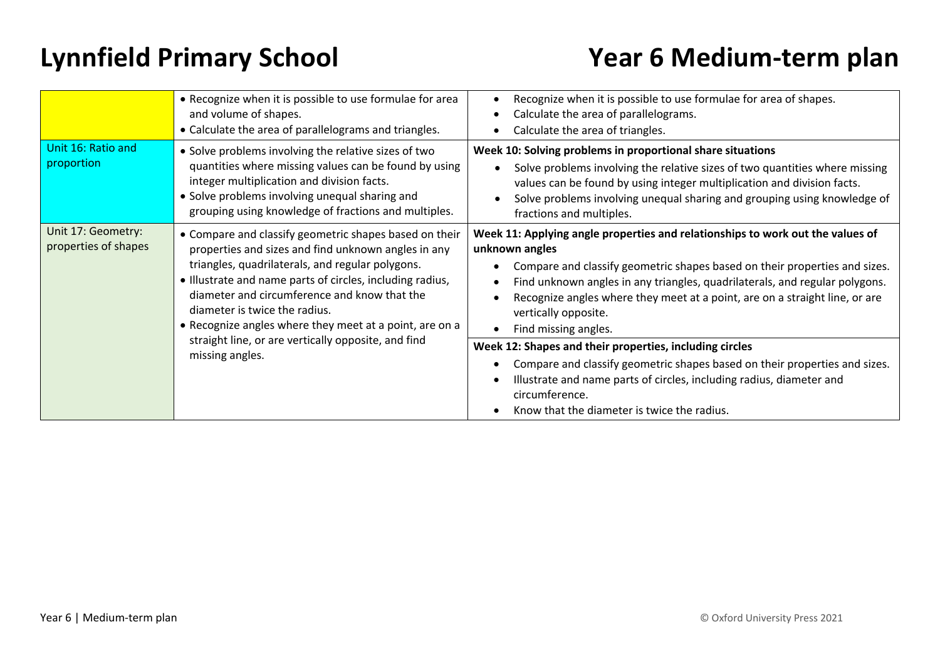|                                            | • Recognize when it is possible to use formulae for area<br>and volume of shapes.<br>• Calculate the area of parallelograms and triangles.                                                                                                                                                                                                                                 | Recognize when it is possible to use formulae for area of shapes.<br>Calculate the area of parallelograms.<br>Calculate the area of triangles.                                                                                                                                                                                                                                               |
|--------------------------------------------|----------------------------------------------------------------------------------------------------------------------------------------------------------------------------------------------------------------------------------------------------------------------------------------------------------------------------------------------------------------------------|----------------------------------------------------------------------------------------------------------------------------------------------------------------------------------------------------------------------------------------------------------------------------------------------------------------------------------------------------------------------------------------------|
| Unit 16: Ratio and<br>proportion           | • Solve problems involving the relative sizes of two<br>quantities where missing values can be found by using<br>integer multiplication and division facts.<br>• Solve problems involving unequal sharing and<br>grouping using knowledge of fractions and multiples.                                                                                                      | Week 10: Solving problems in proportional share situations<br>Solve problems involving the relative sizes of two quantities where missing<br>values can be found by using integer multiplication and division facts.<br>Solve problems involving unequal sharing and grouping using knowledge of<br>fractions and multiples.                                                                 |
| Unit 17: Geometry:<br>properties of shapes | • Compare and classify geometric shapes based on their<br>properties and sizes and find unknown angles in any<br>triangles, quadrilaterals, and regular polygons.<br>• Illustrate and name parts of circles, including radius,<br>diameter and circumference and know that the<br>diameter is twice the radius.<br>• Recognize angles where they meet at a point, are on a | Week 11: Applying angle properties and relationships to work out the values of<br>unknown angles<br>Compare and classify geometric shapes based on their properties and sizes.<br>Find unknown angles in any triangles, quadrilaterals, and regular polygons.<br>Recognize angles where they meet at a point, are on a straight line, or are<br>vertically opposite.<br>Find missing angles. |
|                                            | straight line, or are vertically opposite, and find<br>missing angles.                                                                                                                                                                                                                                                                                                     | Week 12: Shapes and their properties, including circles<br>Compare and classify geometric shapes based on their properties and sizes.<br>Illustrate and name parts of circles, including radius, diameter and<br>circumference.<br>Know that the diameter is twice the radius.                                                                                                               |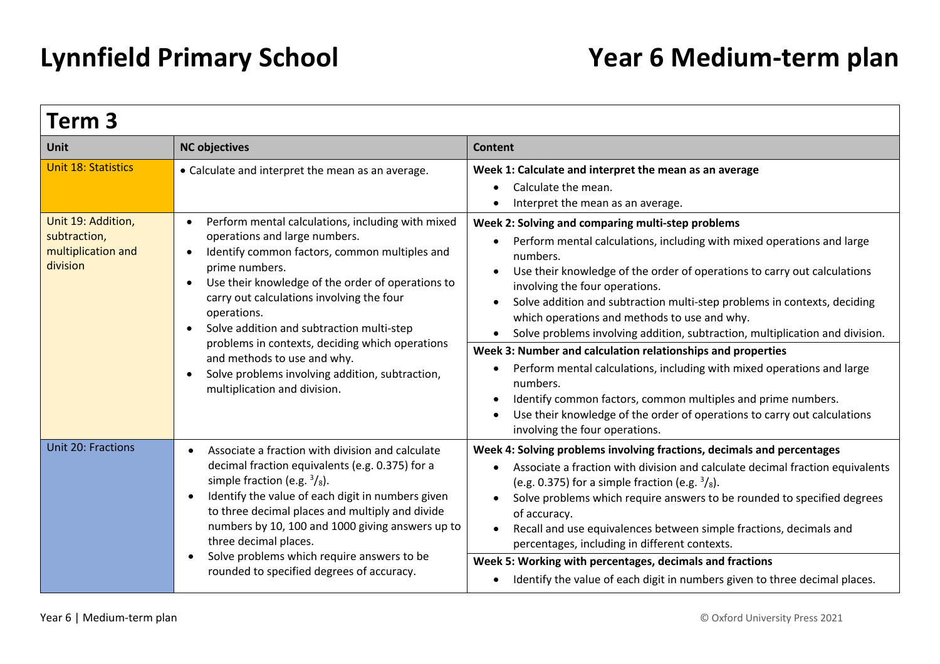| Term 3                                                               |                                                                                                                                                                                                                                                                                                                                                                                                                                                                                                                                 |                                                                                                                                                                                                                                                                                                                                                                                                                                                                                                                                                                                                                                                                                                                                                                                                      |
|----------------------------------------------------------------------|---------------------------------------------------------------------------------------------------------------------------------------------------------------------------------------------------------------------------------------------------------------------------------------------------------------------------------------------------------------------------------------------------------------------------------------------------------------------------------------------------------------------------------|------------------------------------------------------------------------------------------------------------------------------------------------------------------------------------------------------------------------------------------------------------------------------------------------------------------------------------------------------------------------------------------------------------------------------------------------------------------------------------------------------------------------------------------------------------------------------------------------------------------------------------------------------------------------------------------------------------------------------------------------------------------------------------------------------|
| <b>Unit</b>                                                          | <b>NC objectives</b>                                                                                                                                                                                                                                                                                                                                                                                                                                                                                                            | <b>Content</b>                                                                                                                                                                                                                                                                                                                                                                                                                                                                                                                                                                                                                                                                                                                                                                                       |
| <b>Unit 18: Statistics</b>                                           | • Calculate and interpret the mean as an average.                                                                                                                                                                                                                                                                                                                                                                                                                                                                               | Week 1: Calculate and interpret the mean as an average<br>Calculate the mean.<br>Interpret the mean as an average.                                                                                                                                                                                                                                                                                                                                                                                                                                                                                                                                                                                                                                                                                   |
| Unit 19: Addition,<br>subtraction,<br>multiplication and<br>division | Perform mental calculations, including with mixed<br>$\bullet$<br>operations and large numbers.<br>Identify common factors, common multiples and<br>$\bullet$<br>prime numbers.<br>Use their knowledge of the order of operations to<br>$\bullet$<br>carry out calculations involving the four<br>operations.<br>Solve addition and subtraction multi-step<br>problems in contexts, deciding which operations<br>and methods to use and why.<br>Solve problems involving addition, subtraction,<br>multiplication and division. | Week 2: Solving and comparing multi-step problems<br>Perform mental calculations, including with mixed operations and large<br>numbers.<br>Use their knowledge of the order of operations to carry out calculations<br>involving the four operations.<br>Solve addition and subtraction multi-step problems in contexts, deciding<br>which operations and methods to use and why.<br>Solve problems involving addition, subtraction, multiplication and division.<br>Week 3: Number and calculation relationships and properties<br>Perform mental calculations, including with mixed operations and large<br>numbers.<br>Identify common factors, common multiples and prime numbers.<br>Use their knowledge of the order of operations to carry out calculations<br>involving the four operations. |
| Unit 20: Fractions                                                   | Associate a fraction with division and calculate<br>decimal fraction equivalents (e.g. 0.375) for a<br>simple fraction (e.g. $\frac{3}{8}$ ).<br>Identify the value of each digit in numbers given<br>to three decimal places and multiply and divide<br>numbers by 10, 100 and 1000 giving answers up to<br>three decimal places.<br>Solve problems which require answers to be<br>rounded to specified degrees of accuracy.                                                                                                   | Week 4: Solving problems involving fractions, decimals and percentages<br>Associate a fraction with division and calculate decimal fraction equivalents<br>(e.g. 0.375) for a simple fraction (e.g. $\frac{3}{8}$ ).<br>Solve problems which require answers to be rounded to specified degrees<br>of accuracy.<br>Recall and use equivalences between simple fractions, decimals and<br>percentages, including in different contexts.<br>Week 5: Working with percentages, decimals and fractions<br>Identify the value of each digit in numbers given to three decimal places.                                                                                                                                                                                                                     |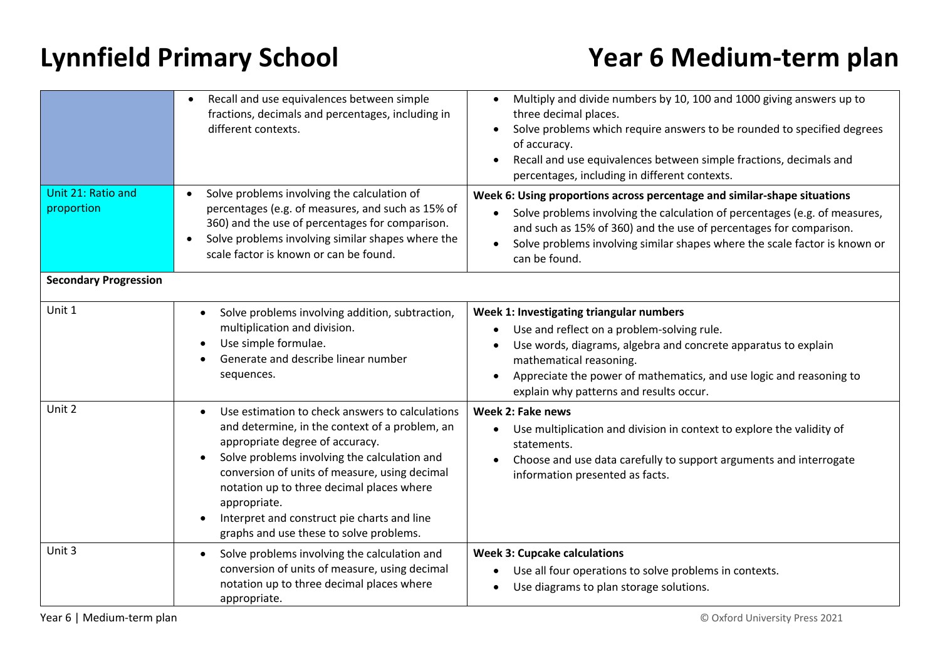|                                  | Recall and use equivalences between simple<br>fractions, decimals and percentages, including in<br>different contexts.                                                                                                                                                                                                                                                                                                 | Multiply and divide numbers by 10, 100 and 1000 giving answers up to<br>three decimal places.<br>Solve problems which require answers to be rounded to specified degrees<br>of accuracy.<br>Recall and use equivalences between simple fractions, decimals and<br>$\bullet$<br>percentages, including in different contexts.             |
|----------------------------------|------------------------------------------------------------------------------------------------------------------------------------------------------------------------------------------------------------------------------------------------------------------------------------------------------------------------------------------------------------------------------------------------------------------------|------------------------------------------------------------------------------------------------------------------------------------------------------------------------------------------------------------------------------------------------------------------------------------------------------------------------------------------|
| Unit 21: Ratio and<br>proportion | Solve problems involving the calculation of<br>percentages (e.g. of measures, and such as 15% of<br>360) and the use of percentages for comparison.<br>Solve problems involving similar shapes where the<br>scale factor is known or can be found.                                                                                                                                                                     | Week 6: Using proportions across percentage and similar-shape situations<br>Solve problems involving the calculation of percentages (e.g. of measures,<br>and such as 15% of 360) and the use of percentages for comparison.<br>Solve problems involving similar shapes where the scale factor is known or<br>$\bullet$<br>can be found. |
| <b>Secondary Progression</b>     |                                                                                                                                                                                                                                                                                                                                                                                                                        |                                                                                                                                                                                                                                                                                                                                          |
| Unit 1                           | Solve problems involving addition, subtraction,<br>$\bullet$<br>multiplication and division.<br>Use simple formulae.<br>Generate and describe linear number<br>sequences.                                                                                                                                                                                                                                              | Week 1: Investigating triangular numbers<br>Use and reflect on a problem-solving rule.<br>Use words, diagrams, algebra and concrete apparatus to explain<br>mathematical reasoning.<br>Appreciate the power of mathematics, and use logic and reasoning to<br>explain why patterns and results occur.                                    |
| Unit 2                           | Use estimation to check answers to calculations<br>$\bullet$<br>and determine, in the context of a problem, an<br>appropriate degree of accuracy.<br>Solve problems involving the calculation and<br>$\bullet$<br>conversion of units of measure, using decimal<br>notation up to three decimal places where<br>appropriate.<br>Interpret and construct pie charts and line<br>graphs and use these to solve problems. | Week 2: Fake news<br>Use multiplication and division in context to explore the validity of<br>statements.<br>Choose and use data carefully to support arguments and interrogate<br>information presented as facts.                                                                                                                       |
| Unit 3                           | Solve problems involving the calculation and<br>conversion of units of measure, using decimal<br>notation up to three decimal places where<br>appropriate.                                                                                                                                                                                                                                                             | <b>Week 3: Cupcake calculations</b><br>Use all four operations to solve problems in contexts.<br>$\bullet$<br>Use diagrams to plan storage solutions.                                                                                                                                                                                    |